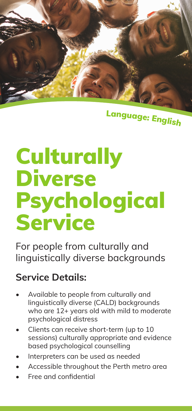

<sup>L</sup>anguage: <sup>E</sup>nglis<sup>h</sup>

# **Culturally** Diverse Psychological **Service**

For people from culturally and linguistically diverse backgrounds

#### **Service Details:**

- Available to people from culturally and linguistically diverse (CALD) backgrounds who are 12+ years old with mild to moderate psychological distress
- Clients can receive short-term (up to 10 sessions) culturally appropriate and evidence based psychological counselling
- Interpreters can be used as needed
- Accessible throughout the Perth metro area
- Free and confidential